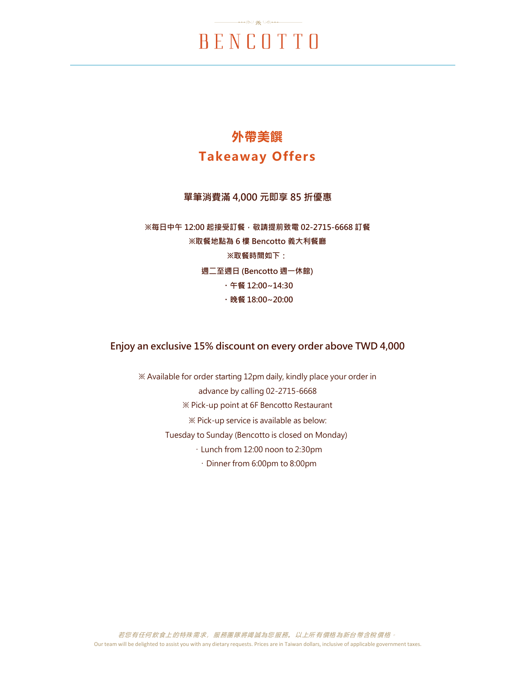### **外帶美饌 Takeaway Offers**

#### **單筆消費滿 4,000 元即享 85 折優惠**

**※每日中午 12:00 起接受訂餐,敬請提前致電 02-2715-6668 訂餐 ※取餐地點為 6 樓 Bencotto 義大利餐廳 ※取餐時間如下: 週二至週日 (Bencotto 週一休館) ・午餐 12:00~14:30 ・晚餐 18:00~20:00**

### **Enjoy an exclusive 15% discount on every order above TWD 4,000**

※ Available for order starting 12pm daily, kindly place your order in advance by calling 02-2715-6668 ※ Pick-up point at 6F Bencotto Restaurant ※ Pick-up service is available as below: Tuesday to Sunday (Bencotto is closed on Monday) ・Lunch from 12:00 noon to 2:30pm ・Dinner from 6:00pm to 8:00pm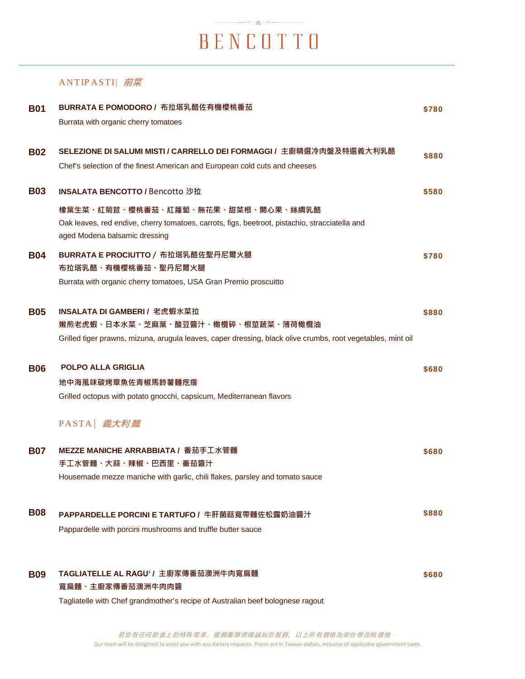### ANTIP ASTI| 前菜

| <b>B01</b> | BURRATA E POMODORO / 布拉塔乳酪佐有機櫻桃番茄                                                                           | \$780 |
|------------|-------------------------------------------------------------------------------------------------------------|-------|
|            | Burrata with organic cherry tomatoes                                                                        |       |
|            |                                                                                                             |       |
| <b>B02</b> | SELEZIONE DI SALUMI MISTI / CARRELLO DEI FORMAGGI / 主廚精選冷肉盤及特選義大利乳酪                                         | \$880 |
|            | Chef's selection of the finest American and European cold cuts and cheeses                                  |       |
|            |                                                                                                             |       |
| <b>B03</b> | INSALATA BENCOTTO / Bencotto 沙拉                                                                             | \$580 |
|            | 橡葉生菜、紅菊苣、櫻桃番茄、紅蘿蔔、無花果、甜菜根、開心果、絲綢乳酪                                                                          |       |
|            | Oak leaves, red endive, cherry tomatoes, carrots, figs, beetroot, pistachio, stracciatella and              |       |
|            | aged Modena balsamic dressing                                                                               |       |
| <b>B04</b> | BURRATA E PROCIUTTO / 布拉塔乳酪佐聖丹尼爾火腿                                                                          | \$780 |
|            | 布拉塔乳酪、有機櫻桃番茄、聖丹尼爾火腿                                                                                         |       |
|            | Burrata with organic cherry tomatoes, USA Gran Premio proscuitto                                            |       |
|            | INSALATA DI GAMBERI / 老虎蝦水菜拉                                                                                |       |
| <b>B05</b> | 嫩煎老虎蝦、日本水菜、芝麻葉、酸豆醬汁、橄欖碎、根莖蔬菜、薄荷橄欖油                                                                          | \$880 |
|            | Grilled tiger prawns, mizuna, arugula leaves, caper dressing, black olive crumbs, root vegetables, mint oil |       |
|            |                                                                                                             |       |
| <b>B06</b> | <b>POLPO ALLA GRIGLIA</b>                                                                                   | \$680 |
|            | 地中海風味碳烤章魚佐青椒馬鈴薯麵疙瘩                                                                                          |       |
|            | Grilled octopus with potato gnocchi, capsicum, Mediterranean flavors                                        |       |
|            | PASTA   義大利麵                                                                                                |       |
|            |                                                                                                             |       |
| <b>B07</b> | MEZZE MANICHE ARRABBIATA / 番茄手工水管麵                                                                          | \$680 |
|            | 手工水管麵、大蒜、辣椒、巴西里、番茄醬汁                                                                                        |       |
|            | Housemade mezze maniche with garlic, chili flakes, parsley and tomato sauce                                 |       |
|            |                                                                                                             |       |
| <b>B08</b> | PAPPARDELLE PORCINI E TARTUFO / 牛肝菌菇寬帶麵佐松露奶油醬汁                                                              | \$880 |
|            | Pappardelle with porcini mushrooms and truffle butter sauce                                                 |       |
|            |                                                                                                             |       |
| <b>B09</b> | TAGLIATELLE AL RAGU' / 主廚家傳番茄澳洲牛肉寬扁麵                                                                        | \$680 |
|            | 寬扁麵、主廚家傳番茄澳洲牛肉肉醬                                                                                            |       |
|            | Tagliatelle with Chef grandmother's recipe of Australian beef bolognese ragout                              |       |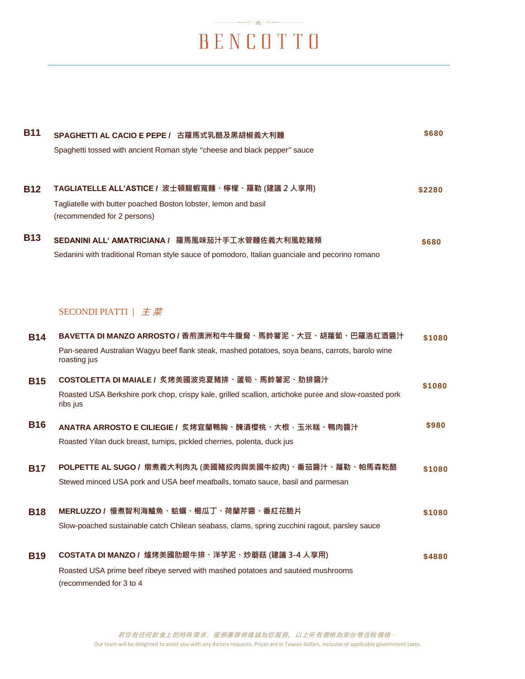$\begin{picture}(150,10) \put(0,0){\vector(1,0){100}} \put(15,0){\vector(1,0){100}} \put(15,0){\vector(1,0){100}} \put(15,0){\vector(1,0){100}} \put(15,0){\vector(1,0){100}} \put(15,0){\vector(1,0){100}} \put(15,0){\vector(1,0){100}} \put(15,0){\vector(1,0){100}} \put(15,0){\vector(1,0){100}} \put(15,0){\vector(1,0){100}} \put(15,0){\vector(1,0){100}}$ 

| <b>B11</b> | SPAGHETTI AL CACIO E PEPE / 古羅馬式乳酪及黑胡椒義大利麵<br>Spaghetti tossed with ancient Roman style "cheese and black pepper" sauce                                                     | \$680  |
|------------|-----------------------------------------------------------------------------------------------------------------------------------------------------------------------------|--------|
| <b>B12</b> | TAGLIATELLE ALL'ASTICE / 波士頓龍蝦寬麵、檸檬、羅勒 (建議 2 人享用)<br>Tagliatelle with butter poached Boston lobster, lemon and basil<br>(recommended for 2 persons)                         | \$2280 |
| <b>B13</b> | SEDANINI ALL' AMATRICIANA / 羅馬風味茄汁手工水管麵佐義大利風乾豬頰<br>Sedanini with traditional Roman style sauce of pomodoro, Italian guanciale and pecorino romano                           | \$680  |
|            | SECONDI PIATTI $\pm \vec{x}$                                                                                                                                                |        |
| <b>B14</b> | BAVETTA DI MANZO ARROSTO / 香煎澳洲和牛牛腹脅、馬鈴薯泥、大豆、胡蘿蔔、巴羅洛紅酒醬汁<br>Pan-seared Australian Wagyu beef flank steak, mashed potatoes, soya beans, carrots, barolo wine<br>roasting jus | \$1080 |
| <b>B15</b> | COSTOLETTA DI MAIALE / 炙烤美國波克夏豬排、蘆筍、馬鈴薯泥、肋排醬汁<br>Roasted USA Berkshire pork chop, crispy kale, grilled scallion, artichoke purée and slow-roasted pork<br>ribs jus          | \$1080 |
| <b>B16</b> | ANATRA ARROSTO E CILIEGIE / 炙烤宜蘭鴨胸、醃漬櫻桃、大根,玉米糕、鴨肉醬汁<br>Roasted Yilan duck breast, turnips, pickled cherries, polenta, duck jus                                              | \$980  |
| <b>B17</b> | POLPETTE AL SUGO / 燉煮義大利肉丸 (美國豬絞肉與美國牛絞肉)、番茄醬汁、蘿勒、帕馬森乾酪<br>Stewed minced USA pork and USA beef meatballs, tomato sauce, basil and parmesan                                   | \$1080 |
| <b>B18</b> | MERLUZZO / 慢煮智利海鱸魚、蛤蠣、櫛瓜丁、荷蘭芹醬、番紅花脆片<br>Slow-poached sustainable catch Chilean seabass, clams, spring zucchini ragout, parsley sauce                                        | \$1080 |
| <b>B19</b> | COSTATA DI MANZO / 爐烤美國肋眼牛排、洋芋泥、炒蘑菇 (建議 3-4 人享用)<br>Roasted USA prime beef ribeye served with mashed potatoes and sautéed mushrooms<br>(recommended for 3 to 4              | \$4880 |